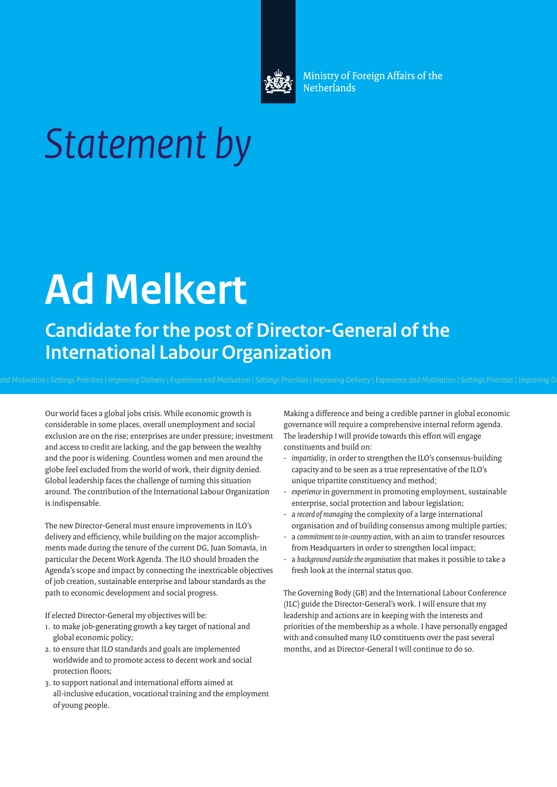

Ministry of Foreign Affairs of the Netherlands

# *Statement by*

## **Ad Melkert**

**Candidate for the post of Director-General of the International Labour Organization**

Our world faces a global jobs crisis. While economic growth is considerable in some places, overall unemployment and social exclusion are on the rise; enterprises are under pressure; investment and access to credit are lacking, and the gap between the wealthy and the poor is widening. Countless women and men around the globe feel excluded from the world of work, their dignity denied. Global leadership faces the challenge of turning this situation around. The contribution of the International Labour Organization is indispensable.

The new Director-General must ensure improvements in ILO's delivery and efficiency, while building on the major accomplishments made during the tenure of the current DG, Juan Somavía, in particular the Decent Work Agenda. The ILO should broaden the Agenda's scope and impact by connecting the inextricable objectives of job creation, sustainable enterprise and labour standards as the path to economic development and social progress.

If elected Director-General my objectives will be:

- 1. to make job-generating growth a key target of national and global economic policy;
- 2. to ensure that ILO standards and goals are implemented worldwide and to promote access to decent work and social protection floors;
- 3. to support national and international efforts aimed at all-inclusive education, vocational training and the employment of young people.

Making a difference and being a credible partner in global economic governance will require a comprehensive internal reform agenda. The leadership I will provide towards this effort will engage constituents and build on:

- *impartiality*, in order to strengthen the ILO's consensus-building capacity and to be seen as a true representative of the ILO's unique tripartite constituency and method;
- *experience* in government in promoting employment, sustainable enterprise, social protection and labour legislation;
- a *record of managing* the complexity of a large international organisation and of building consensus among multiple parties;
- a *commitment to in-country action*, with an aim to transfer resources from Headquarters in order to strengthen local impact;
- a *background outside the organisation* that makes it possible to take a fresh look at the internal status quo.

The Governing Body (GB) and the International Labour Conference (ILC) guide the Director-General's work. I will ensure that my leadership and actions are in keeping with the interests and priorities of the membership as a whole. I have personally engaged with and consulted many ILO constituents over the past several months, and as Director-General I will continue to do so.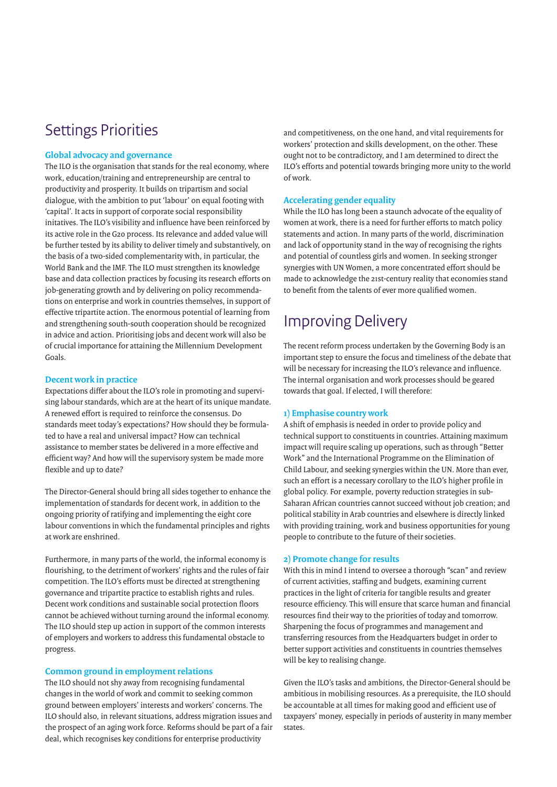## Settings Priorities

#### **Global advocacy and governance**

The ILO is the organisation that stands for the real economy, where work, education/training and entrepreneurship are central to productivity and prosperity. It builds on tripartism and social dialogue, with the ambition to put 'labour' on equal footing with 'capital'. It acts in support of corporate social responsibility initatives. The ILO's visibility and influence have been reinforced by its active role in the G20 process. Its relevance and added value will be further tested by its ability to deliver timely and substantively, on the basis of a two-sided complementarity with, in particular, the World Bank and the IMF. The ILO must strengthen its knowledge base and data collection practices by focusing its research efforts on job-generating growth and by delivering on policy recommendations on enterprise and work in countries themselves, in support of effective tripartite action. The enormous potential of learning from and strengthening south-south cooperation should be recognized in advice and action. Prioritising jobs and decent work will also be of crucial importance for attaining the Millennium Development Goals.

#### **Decent work in practice**

Expectations differ about the ILO's role in promoting and supervising labour standards, which are at the heart of its unique mandate. A renewed effort is required to reinforce the consensus. Do standards meet today's expectations? How should they be formulated to have a real and universal impact? How can technical assistance to member states be delivered in a more effective and efficient way? And how will the supervisory system be made more flexible and up to date?

The Director-General should bring all sides together to enhance the implementation of standards for decent work, in addition to the ongoing priority of ratifying and implementing the eight core labour conventions in which the fundamental principles and rights at work are enshrined.

Furthermore, in many parts of the world, the informal economy is flourishing, to the detriment of workers' rights and the rules of fair competition. The ILO's efforts must be directed at strengthening governance and tripartite practice to establish rights and rules. Decent work conditions and sustainable social protection floors cannot be achieved without turning around the informal economy. The ILO should step up action in support of the common interests of employers and workers to address this fundamental obstacle to progress.

#### **Common ground in employment relations**

The ILO should not shy away from recognising fundamental changes in the world of work and commit to seeking common ground between employers' interests and workers' concerns. The ILO should also, in relevant situations, address migration issues and the prospect of an aging work force. Reforms should be part of a fair deal, which recognises key conditions for enterprise productivity

and competitiveness, on the one hand, and vital requirements for workers' protection and skills development, on the other. These ought not to be contradictory, and I am determined to direct the ILO's efforts and potential towards bringing more unity to the world of work.

#### **Accelerating gender equality**

While the ILO has long been a staunch advocate of the equality of women at work, there is a need for further efforts to match policy statements and action. In many parts of the world, discrimination and lack of opportunity stand in the way of recognising the rights and potential of countless girls and women. In seeking stronger synergies with UN Women, a more concentrated effort should be made to acknowledge the 21st-century reality that economies stand to benefit from the talents of ever more qualified women.

### Improving Delivery

The recent reform process undertaken by the Governing Body is an important step to ensure the focus and timeliness of the debate that will be necessary for increasing the ILO's relevance and influence. The internal organisation and work processes should be geared towards that goal. If elected, I will therefore:

#### **1) Emphasise country work**

A shift of emphasis is needed in order to provide policy and technical support to constituents in countries. Attaining maximum impact will require scaling up operations, such as through "Better Work" and the International Programme on the Elimination of Child Labour, and seeking synergies within the UN. More than ever, such an effort is a necessary corollary to the ILO's higher profile in global policy. For example, poverty reduction strategies in sub-Saharan African countries cannot succeed without job creation; and political stability in Arab countries and elsewhere is directly linked with providing training, work and business opportunities for young people to contribute to the future of their societies.

#### **2) Promote change for results**

With this in mind I intend to oversee a thorough "scan" and review of current activities, staffing and budgets, examining current practices in the light of criteria for tangible results and greater resource efficiency. This will ensure that scarce human and financial resources find their way to the priorities of today and tomorrow. Sharpening the focus of programmes and management and transferring resources from the Headquarters budget in order to better support activities and constituents in countries themselves will be key to realising change.

Given the ILO's tasks and ambitions, the Director-General should be ambitious in mobilising resources. As a prerequisite, the ILO should be accountable at all times for making good and efficient use of taxpayers' money, especially in periods of austerity in many member states.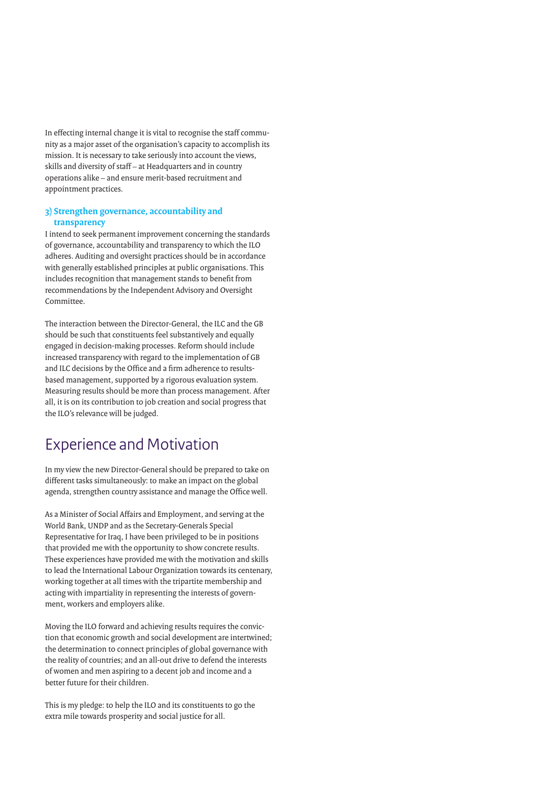In effecting internal change it is vital to recognise the staff community as a major asset of the organisation's capacity to accomplish its mission. It is necessary to take seriously into account the views, skills and diversity of staff – at Headquarters and in country operations alike – and ensure merit-based recruitment and appointment practices.

#### **3) Strengthen governance, accountability and transparency**

I intend to seek permanent improvement concerning the standards of governance, accountability and transparency to which the ILO adheres. Auditing and oversight practices should be in accordance with generally established principles at public organisations. This includes recognition that management stands to benefit from recommendations by the Independent Advisory and Oversight Committee.

The interaction between the Director-General, the ILC and the GB should be such that constituents feel substantively and equally engaged in decision-making processes. Reform should include increased transparency with regard to the implementation of GB and ILC decisions by the Office and a firm adherence to resultsbased management, supported by a rigorous evaluation system. Measuring results should be more than process management. After all, it is on its contribution to job creation and social progress that the ILO's relevance will be judged.

## Experience and Motivation

In my view the new Director-General should be prepared to take on different tasks simultaneously: to make an impact on the global agenda, strengthen country assistance and manage the Office well.

As a Minister of Social Affairs and Employment, and serving at the World Bank, UNDP and as the Secretary-Generals Special Representative for Iraq, I have been privileged to be in positions that provided me with the opportunity to show concrete results. These experiences have provided me with the motivation and skills to lead the International Labour Organization towards its centenary, working together at all times with the tripartite membership and acting with impartiality in representing the interests of government, workers and employers alike.

Moving the ILO forward and achieving results requires the conviction that economic growth and social development are intertwined; the determination to connect principles of global governance with the reality of countries; and an all-out drive to defend the interests of women and men aspiring to a decent job and income and a better future for their children.

This is my pledge: to help the ILO and its constituents to go the extra mile towards prosperity and social justice for all.